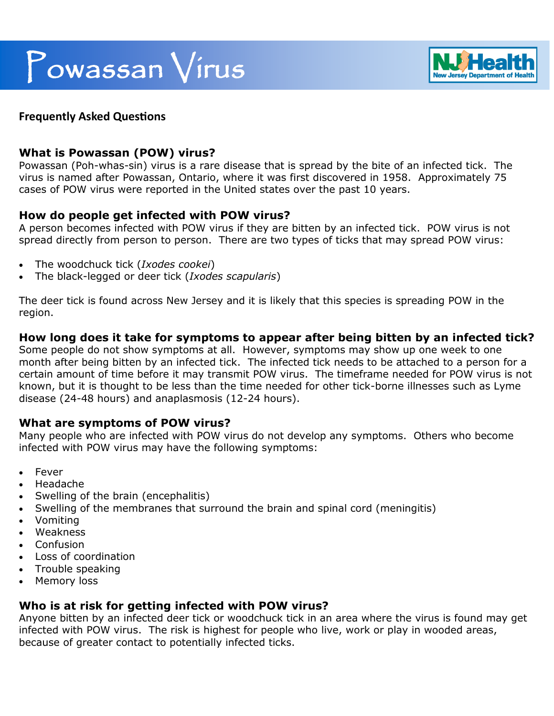# Powassan Virus



## **Frequently Asked Questions**

## **What is Powassan (POW) virus?**

Powassan (Poh-whas-sin) virus is a rare disease that is spread by the bite of an infected tick. The virus is named after Powassan, Ontario, where it was first discovered in 1958. Approximately 75 cases of POW virus were reported in the United states over the past 10 years.

## **How do people get infected with POW virus?**

A person becomes infected with POW virus if they are bitten by an infected tick. POW virus is not spread directly from person to person. There are two types of ticks that may spread POW virus:

- The woodchuck tick (*Ixodes cookei*)
- The black-legged or deer tick (*Ixodes scapularis*)

The deer tick is found across New Jersey and it is likely that this species is spreading POW in the region.

## **How long does it take for symptoms to appear after being bitten by an infected tick?**

Some people do not show symptoms at all. However, symptoms may show up one week to one month after being bitten by an infected tick. The infected tick needs to be attached to a person for a certain amount of time before it may transmit POW virus. The timeframe needed for POW virus is not known, but it is thought to be less than the time needed for other tick-borne illnesses such as Lyme disease (24-48 hours) and anaplasmosis (12-24 hours).

#### **What are symptoms of POW virus?**

Many people who are infected with POW virus do not develop any symptoms. Others who become infected with POW virus may have the following symptoms:

- Fever
- Headache
- Swelling of the brain (encephalitis)
- Swelling of the membranes that surround the brain and spinal cord (meningitis)
- Vomiting
- Weakness
- Confusion
- Loss of coordination
- Trouble speaking
- Memory loss

## **Who is at risk for getting infected with POW virus?**

Anyone bitten by an infected deer tick or woodchuck tick in an area where the virus is found may get infected with POW virus. The risk is highest for people who live, work or play in wooded areas, because of greater contact to potentially infected ticks.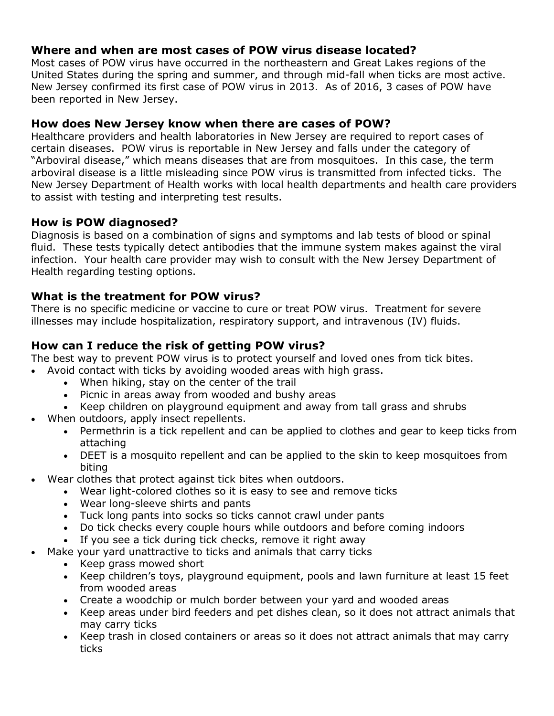# **Where and when are most cases of POW virus disease located?**

Most cases of POW virus have occurred in the northeastern and Great Lakes regions of the United States during the spring and summer, and through mid-fall when ticks are most active. New Jersey confirmed its first case of POW virus in 2013. As of 2016, 3 cases of POW have been reported in New Jersey.

## **How does New Jersey know when there are cases of POW?**

Healthcare providers and health laboratories in New Jersey are required to report cases of certain diseases. POW virus is reportable in New Jersey and falls under the category of "Arboviral disease," which means diseases that are from mosquitoes. In this case, the term arboviral disease is a little misleading since POW virus is transmitted from infected ticks. The New Jersey Department of Health works with local health departments and health care providers to assist with testing and interpreting test results.

# **How is POW diagnosed?**

Diagnosis is based on a combination of signs and symptoms and lab tests of blood or spinal fluid. These tests typically detect antibodies that the immune system makes against the viral infection. Your health care provider may wish to consult with the New Jersey Department of Health regarding testing options.

## **What is the treatment for POW virus?**

There is no specific medicine or vaccine to cure or treat POW virus. Treatment for severe illnesses may include hospitalization, respiratory support, and intravenous (IV) fluids.

# **How can I reduce the risk of getting POW virus?**

The best way to prevent POW virus is to protect yourself and loved ones from tick bites.

- Avoid contact with ticks by avoiding wooded areas with high grass.
	- When hiking, stay on the center of the trail
	- Picnic in areas away from wooded and bushy areas
	- Keep children on playground equipment and away from tall grass and shrubs
- When outdoors, apply insect repellents.
	- Permethrin is a tick repellent and can be applied to clothes and gear to keep ticks from attaching
	- DEET is a mosquito repellent and can be applied to the skin to keep mosquitoes from biting
- Wear clothes that protect against tick bites when outdoors.
	- Wear light-colored clothes so it is easy to see and remove ticks
	- Wear long-sleeve shirts and pants
	- Tuck long pants into socks so ticks cannot crawl under pants
	- Do tick checks every couple hours while outdoors and before coming indoors
	- If you see a tick during tick checks, remove it right away
- Make your yard unattractive to ticks and animals that carry ticks
	- Keep grass mowed short
	- Keep children's toys, playground equipment, pools and lawn furniture at least 15 feet from wooded areas
	- Create a woodchip or mulch border between your yard and wooded areas
	- Keep areas under bird feeders and pet dishes clean, so it does not attract animals that may carry ticks
	- Keep trash in closed containers or areas so it does not attract animals that may carry ticks